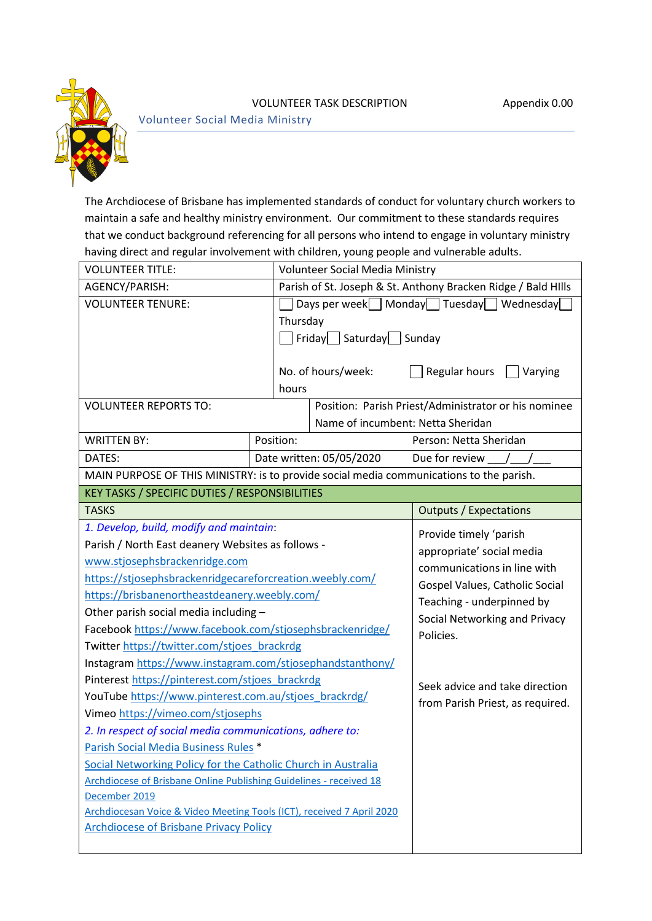

## VOLUNTEER TASK DESCRIPTION Appendix 0.00

Volunteer Social Media Ministry

The Archdiocese of Brisbane has implemented standards of conduct for voluntary church workers to maintain a safe and healthy ministry environment. Our commitment to these standards requires that we conduct background referencing for all persons who intend to engage in voluntary ministry having direct and regular involvement with children, young people and vulnerable adults.

| <b>VOLUNTEER TITLE:</b>                                                                 |           | <b>Volunteer Social Media Ministry</b>                        |                                                                                                                                                          |  |
|-----------------------------------------------------------------------------------------|-----------|---------------------------------------------------------------|----------------------------------------------------------------------------------------------------------------------------------------------------------|--|
| AGENCY/PARISH:                                                                          |           | Parish of St. Joseph & St. Anthony Bracken Ridge / Bald Hills |                                                                                                                                                          |  |
| <b>VOLUNTEER TENURE:</b>                                                                |           | Monday Tuesday Wednesday<br>Days per week $\Box$              |                                                                                                                                                          |  |
|                                                                                         | Thursday  |                                                               |                                                                                                                                                          |  |
|                                                                                         |           | Friday Saturday Sunday                                        |                                                                                                                                                          |  |
|                                                                                         |           |                                                               |                                                                                                                                                          |  |
|                                                                                         |           | No. of hours/week:                                            | Regular hours<br>Varying                                                                                                                                 |  |
|                                                                                         | hours     |                                                               |                                                                                                                                                          |  |
| <b>VOLUNTEER REPORTS TO:</b>                                                            |           |                                                               | Position: Parish Priest/Administrator or his nominee                                                                                                     |  |
|                                                                                         |           | Name of incumbent: Netta Sheridan                             |                                                                                                                                                          |  |
| <b>WRITTEN BY:</b>                                                                      | Position: |                                                               | Person: Netta Sheridan                                                                                                                                   |  |
| DATES:                                                                                  |           | Date written: 05/05/2020                                      | Due for review /                                                                                                                                         |  |
| MAIN PURPOSE OF THIS MINISTRY: is to provide social media communications to the parish. |           |                                                               |                                                                                                                                                          |  |
| KEY TASKS / SPECIFIC DUTIES / RESPONSIBILITIES                                          |           |                                                               |                                                                                                                                                          |  |
| <b>TASKS</b>                                                                            |           |                                                               | <b>Outputs / Expectations</b>                                                                                                                            |  |
| 1. Develop, build, modify and maintain:                                                 |           | Provide timely 'parish                                        |                                                                                                                                                          |  |
| Parish / North East deanery Websites as follows -                                       |           |                                                               | appropriate' social media<br>communications in line with<br>Gospel Values, Catholic Social<br>Teaching - underpinned by<br>Social Networking and Privacy |  |
| www.stjosephsbrackenridge.com                                                           |           |                                                               |                                                                                                                                                          |  |
| https://stjosephsbrackenridgecareforcreation.weebly.com/                                |           |                                                               |                                                                                                                                                          |  |
| https://brisbanenortheastdeanery.weebly.com/                                            |           |                                                               |                                                                                                                                                          |  |
| Other parish social media including -                                                   |           |                                                               |                                                                                                                                                          |  |
| Facebook https://www.facebook.com/stjosephsbrackenridge/                                |           |                                                               | Policies.                                                                                                                                                |  |
| Twitter https://twitter.com/stjoes brackrdg                                             |           |                                                               |                                                                                                                                                          |  |
| Instagram https://www.instagram.com/stjosephandstanthony/                               |           |                                                               |                                                                                                                                                          |  |
| Pinterest https://pinterest.com/stjoes_brackrdg                                         |           |                                                               | Seek advice and take direction                                                                                                                           |  |
| YouTube https://www.pinterest.com.au/stjoes_brackrdg/                                   |           |                                                               | from Parish Priest, as required.                                                                                                                         |  |
| Vimeo https://vimeo.com/stjosephs                                                       |           |                                                               |                                                                                                                                                          |  |
| 2. In respect of social media communications, adhere to:                                |           |                                                               |                                                                                                                                                          |  |
| Parish Social Media Business Rules *                                                    |           |                                                               |                                                                                                                                                          |  |
| Social Networking Policy for the Catholic Church in Australia                           |           |                                                               |                                                                                                                                                          |  |
| Archdiocese of Brisbane Online Publishing Guidelines - received 18                      |           |                                                               |                                                                                                                                                          |  |
| December 2019                                                                           |           |                                                               |                                                                                                                                                          |  |
| Archdiocesan Voice & Video Meeting Tools (ICT), received 7 April 2020                   |           |                                                               |                                                                                                                                                          |  |
| <b>Archdiocese of Brisbane Privacy Policy</b>                                           |           |                                                               |                                                                                                                                                          |  |
|                                                                                         |           |                                                               |                                                                                                                                                          |  |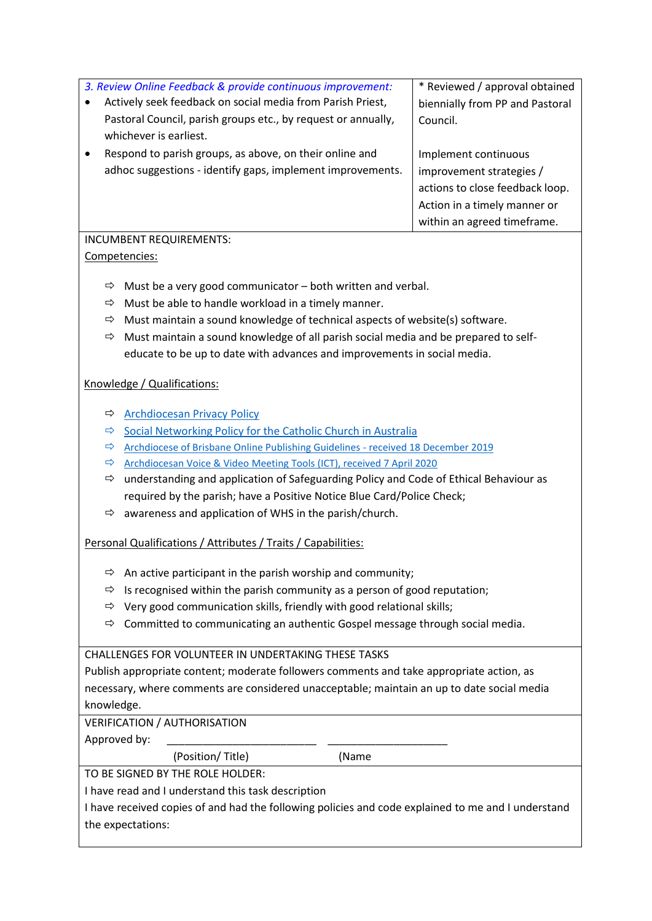| 3. Review Online Feedback & provide continuous improvement:                                            | * Reviewed / approval obtained                                |  |  |  |
|--------------------------------------------------------------------------------------------------------|---------------------------------------------------------------|--|--|--|
| Actively seek feedback on social media from Parish Priest,<br>$\bullet$                                | biennially from PP and Pastoral                               |  |  |  |
| Pastoral Council, parish groups etc., by request or annually,                                          | Council.                                                      |  |  |  |
| whichever is earliest.                                                                                 |                                                               |  |  |  |
| Respond to parish groups, as above, on their online and<br>$\bullet$                                   | Implement continuous                                          |  |  |  |
| adhoc suggestions - identify gaps, implement improvements.                                             | improvement strategies /                                      |  |  |  |
|                                                                                                        | actions to close feedback loop.                               |  |  |  |
|                                                                                                        | Action in a timely manner or                                  |  |  |  |
|                                                                                                        | within an agreed timeframe.                                   |  |  |  |
| <b>INCUMBENT REQUIREMENTS:</b>                                                                         |                                                               |  |  |  |
| Competencies:                                                                                          |                                                               |  |  |  |
| Must be a very good communicator – both written and verbal.<br>⇨                                       |                                                               |  |  |  |
| Must be able to handle workload in a timely manner.<br>⇨                                               |                                                               |  |  |  |
| Must maintain a sound knowledge of technical aspects of website(s) software.<br>⇨                      |                                                               |  |  |  |
| Must maintain a sound knowledge of all parish social media and be prepared to self-<br>$\Rightarrow$   |                                                               |  |  |  |
| educate to be up to date with advances and improvements in social media.                               |                                                               |  |  |  |
| Knowledge / Qualifications:                                                                            |                                                               |  |  |  |
| <b>Archdiocesan Privacy Policy</b><br>⇨                                                                |                                                               |  |  |  |
| ⇨                                                                                                      | Social Networking Policy for the Catholic Church in Australia |  |  |  |
| Archdiocese of Brisbane Online Publishing Guidelines - received 18 December 2019<br>⇨                  |                                                               |  |  |  |
| Archdiocesan Voice & Video Meeting Tools (ICT), received 7 April 2020<br>$\Rightarrow$                 |                                                               |  |  |  |
| understanding and application of Safeguarding Policy and Code of Ethical Behaviour as<br>$\Rightarrow$ |                                                               |  |  |  |
| required by the parish; have a Positive Notice Blue Card/Police Check;                                 |                                                               |  |  |  |
| awareness and application of WHS in the parish/church.<br>⇨                                            |                                                               |  |  |  |
| Personal Qualifications / Attributes / Traits / Capabilities:                                          |                                                               |  |  |  |
| An active participant in the parish worship and community;<br>⇨                                        |                                                               |  |  |  |
| Is recognised within the parish community as a person of good reputation;<br>⇨                         |                                                               |  |  |  |
| Very good communication skills, friendly with good relational skills;<br>⇨                             |                                                               |  |  |  |
| Committed to communicating an authentic Gospel message through social media.<br>⇨                      |                                                               |  |  |  |
| CHALLENGES FOR VOLUNTEER IN UNDERTAKING THESE TASKS                                                    |                                                               |  |  |  |

Publish appropriate content; moderate followers comments and take appropriate action, as necessary, where comments are considered unacceptable; maintain an up to date social media knowledge.

VERIFICATION / AUTHORISATION

Approved by:

(Position/ Title) (Name

TO BE SIGNED BY THE ROLE HOLDER:

I have read and I understand this task description

I have received copies of and had the following policies and code explained to me and I understand the expectations: